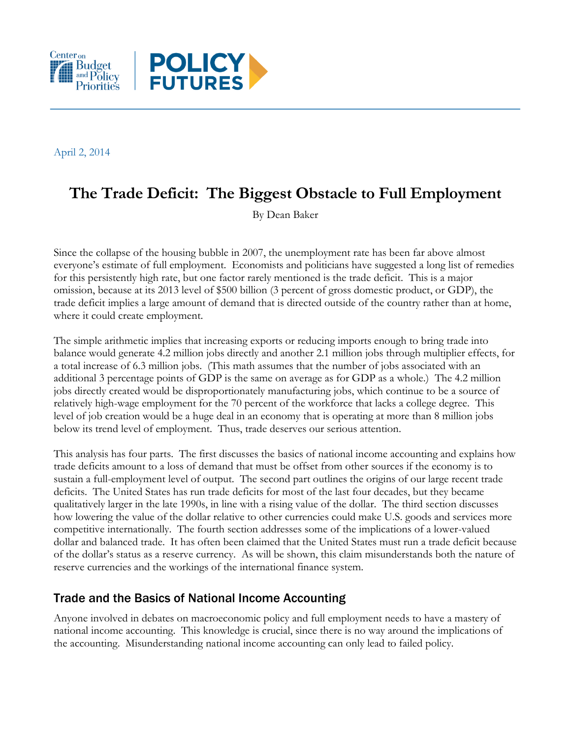

April 2, 2014

# **The Trade Deficit: The Biggest Obstacle to Full Employment**

By Dean Baker

Since the collapse of the housing bubble in 2007, the unemployment rate has been far above almost everyone's estimate of full employment. Economists and politicians have suggested a long list of remedies for this persistently high rate, but one factor rarely mentioned is the trade deficit. This is a major omission, because at its 2013 level of \$500 billion (3 percent of gross domestic product, or GDP), the trade deficit implies a large amount of demand that is directed outside of the country rather than at home, where it could create employment.

The simple arithmetic implies that increasing exports or reducing imports enough to bring trade into balance would generate 4.2 million jobs directly and another 2.1 million jobs through multiplier effects, for a total increase of 6.3 million jobs. (This math assumes that the number of jobs associated with an additional 3 percentage points of GDP is the same on average as for GDP as a whole.) The 4.2 million jobs directly created would be disproportionately manufacturing jobs, which continue to be a source of relatively high-wage employment for the 70 percent of the workforce that lacks a college degree. This level of job creation would be a huge deal in an economy that is operating at more than 8 million jobs below its trend level of employment. Thus, trade deserves our serious attention.

This analysis has four parts. The first discusses the basics of national income accounting and explains how trade deficits amount to a loss of demand that must be offset from other sources if the economy is to sustain a full-employment level of output. The second part outlines the origins of our large recent trade deficits. The United States has run trade deficits for most of the last four decades, but they became qualitatively larger in the late 1990s, in line with a rising value of the dollar. The third section discusses how lowering the value of the dollar relative to other currencies could make U.S. goods and services more competitive internationally. The fourth section addresses some of the implications of a lower-valued dollar and balanced trade. It has often been claimed that the United States must run a trade deficit because of the dollar's status as a reserve currency. As will be shown, this claim misunderstands both the nature of reserve currencies and the workings of the international finance system.

### Trade and the Basics of National Income Accounting

Anyone involved in debates on macroeconomic policy and full employment needs to have a mastery of national income accounting. This knowledge is crucial, since there is no way around the implications of the accounting. Misunderstanding national income accounting can only lead to failed policy.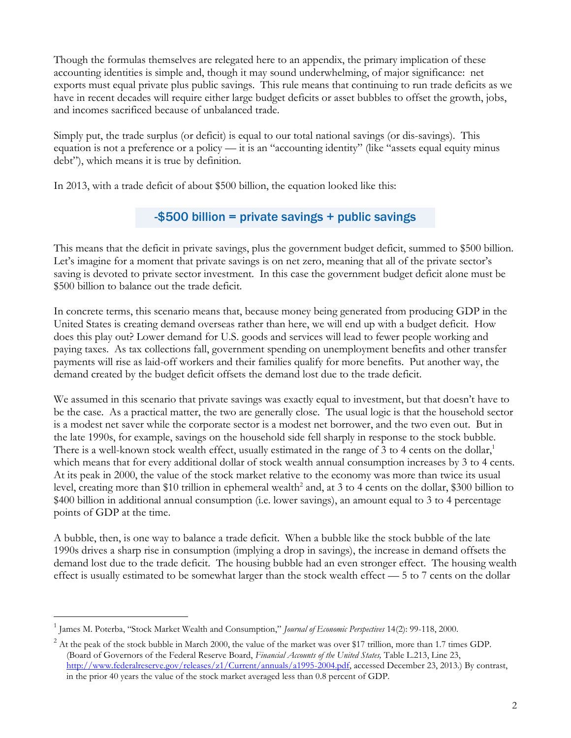Though the formulas themselves are relegated here to an appendix, the primary implication of these accounting identities is simple and, though it may sound underwhelming, of major significance: net exports must equal private plus public savings. This rule means that continuing to run trade deficits as we have in recent decades will require either large budget deficits or asset bubbles to offset the growth, jobs, and incomes sacrificed because of unbalanced trade.

Simply put, the trade surplus (or deficit) is equal to our total national savings (or dis-savings). This equation is not a preference or a policy — it is an "accounting identity" (like "assets equal equity minus debt"), which means it is true by definition.

In 2013, with a trade deficit of about \$500 billion, the equation looked like this:

# -\$500 billion = private savings + public savings

This means that the deficit in private savings, plus the government budget deficit, summed to \$500 billion. Let's imagine for a moment that private savings is on net zero, meaning that all of the private sector's saving is devoted to private sector investment. In this case the government budget deficit alone must be \$500 billion to balance out the trade deficit.

In concrete terms, this scenario means that, because money being generated from producing GDP in the United States is creating demand overseas rather than here, we will end up with a budget deficit. How does this play out? Lower demand for U.S. goods and services will lead to fewer people working and paying taxes. As tax collections fall, government spending on unemployment benefits and other transfer payments will rise as laid-off workers and their families qualify for more benefits. Put another way, the demand created by the budget deficit offsets the demand lost due to the trade deficit.

We assumed in this scenario that private savings was exactly equal to investment, but that doesn't have to be the case. As a practical matter, the two are generally close. The usual logic is that the household sector is a modest net saver while the corporate sector is a modest net borrower, and the two even out. But in the late 1990s, for example, savings on the household side fell sharply in response to the stock bubble. There is a well-known stock wealth effect, usually estimated in the range of 3 to 4 cents on the dollar, $<sup>1</sup>$ </sup> which means that for every additional dollar of stock wealth annual consumption increases by 3 to 4 cents. At its peak in 2000, the value of the stock market relative to the economy was more than twice its usual level, creating more than \$10 trillion in ephemeral wealth<sup>2</sup> and, at 3 to 4 cents on the dollar, \$300 billion to \$400 billion in additional annual consumption (i.e. lower savings), an amount equal to 3 to 4 percentage points of GDP at the time.

A bubble, then, is one way to balance a trade deficit. When a bubble like the stock bubble of the late 1990s drives a sharp rise in consumption (implying a drop in savings), the increase in demand offsets the demand lost due to the trade deficit. The housing bubble had an even stronger effect. The housing wealth effect is usually estimated to be somewhat larger than the stock wealth effect — 5 to 7 cents on the dollar

<sup>1</sup> James M. Poterba, "Stock Market Wealth and Consumption," *Journal of Economic Perspectives* 14(2): 99-118, 2000.

 $^2$  At the peak of the stock bubble in March 2000, the value of the market was over \$17 trillion, more than 1.7 times GDP. (Board of Governors of the Federal Reserve Board, *Financial Accounts of the United States,* Table L.213, Line 23, [http://www.federalreserve.gov/releases/z1/Current/annuals/a1995-2004.pdf,](http://www.federalreserve.gov/releases/z1/Current/annuals/a1995-2004.pdf) accessed December 23, 2013.) By contrast, in the prior 40 years the value of the stock market averaged less than 0.8 percent of GDP.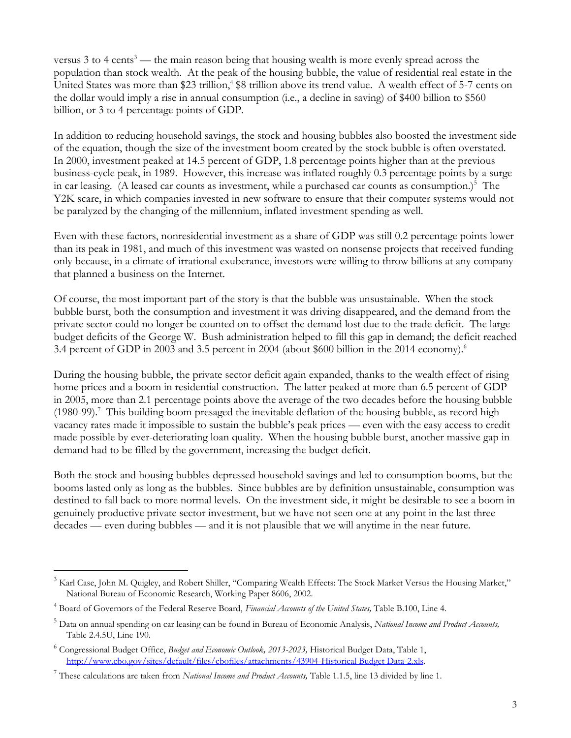versus  $3$  to  $4$  cents<sup>3</sup> — the main reason being that housing wealth is more evenly spread across the population than stock wealth. At the peak of the housing bubble, the value of residential real estate in the United States was more than \$23 trillion,<sup>4</sup> \$8 trillion above its trend value. A wealth effect of 5-7 cents on the dollar would imply a rise in annual consumption (i.e., a decline in saving) of \$400 billion to \$560 billion, or 3 to 4 percentage points of GDP.

In addition to reducing household savings, the stock and housing bubbles also boosted the investment side of the equation, though the size of the investment boom created by the stock bubble is often overstated. In 2000, investment peaked at 14.5 percent of GDP, 1.8 percentage points higher than at the previous business-cycle peak, in 1989. However, this increase was inflated roughly 0.3 percentage points by a surge in car leasing. (A leased car counts as investment, while a purchased car counts as consumption.)<sup>5</sup> The Y2K scare, in which companies invested in new software to ensure that their computer systems would not be paralyzed by the changing of the millennium, inflated investment spending as well.

Even with these factors, nonresidential investment as a share of GDP was still 0.2 percentage points lower than its peak in 1981, and much of this investment was wasted on nonsense projects that received funding only because, in a climate of irrational exuberance, investors were willing to throw billions at any company that planned a business on the Internet.

Of course, the most important part of the story is that the bubble was unsustainable. When the stock bubble burst, both the consumption and investment it was driving disappeared, and the demand from the private sector could no longer be counted on to offset the demand lost due to the trade deficit. The large budget deficits of the George W. Bush administration helped to fill this gap in demand; the deficit reached 3.4 percent of GDP in 2003 and 3.5 percent in 2004 (about \$600 billion in the 2014 economy).<sup>6</sup>

During the housing bubble, the private sector deficit again expanded, thanks to the wealth effect of rising home prices and a boom in residential construction. The latter peaked at more than 6.5 percent of GDP in 2005, more than 2.1 percentage points above the average of the two decades before the housing bubble (1980-99).<sup>7</sup> This building boom presaged the inevitable deflation of the housing bubble, as record high vacancy rates made it impossible to sustain the bubble's peak prices — even with the easy access to credit made possible by ever-deteriorating loan quality. When the housing bubble burst, another massive gap in demand had to be filled by the government, increasing the budget deficit.

Both the stock and housing bubbles depressed household savings and led to consumption booms, but the booms lasted only as long as the bubbles. Since bubbles are by definition unsustainable, consumption was destined to fall back to more normal levels. On the investment side, it might be desirable to see a boom in genuinely productive private sector investment, but we have not seen one at any point in the last three decades — even during bubbles — and it is not plausible that we will anytime in the near future.

<sup>&</sup>lt;sup>3</sup> Karl Case, John M. Quigley, and Robert Shiller, "Comparing Wealth Effects: The Stock Market Versus the Housing Market," National Bureau of Economic Research, Working Paper 8606, 2002.

<sup>4</sup> Board of Governors of the Federal Reserve Board, *Financial Accounts of the United States,* Table B.100, Line 4.

<sup>5</sup> Data on annual spending on car leasing can be found in Bureau of Economic Analysis, *National Income and Product Accounts,* Table 2.4.5U, Line 190.

<sup>6</sup> Congressional Budget Office, *Budget and Economic Outlook, 2013-2023,* Historical Budget Data, Table 1, [http://www.cbo.gov/sites/default/files/cbofiles/attachments/43904-Historical Budget Data-2.xls.](http://www.cbo.gov/sites/default/files/cbofiles/attachments/43904-Historical%20Budget%20Data-2.xls) 

<sup>7</sup> These calculations are taken from *National Income and Product Accounts,* Table 1.1.5, line 13 divided by line 1.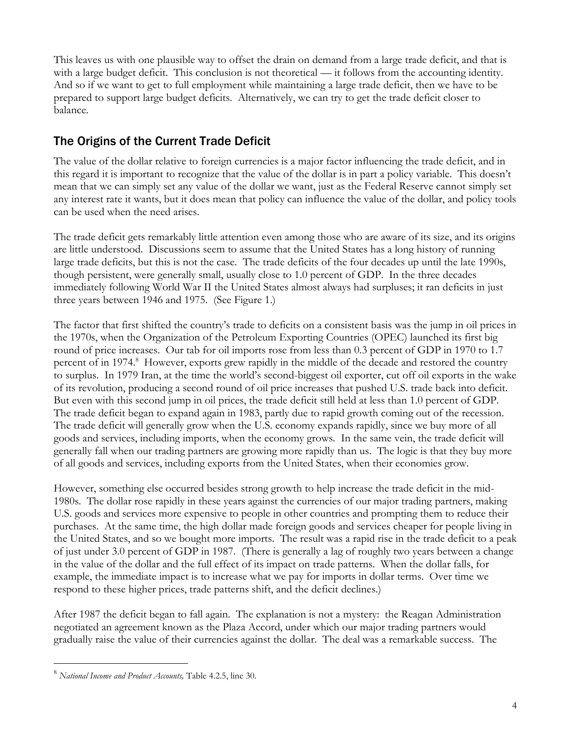This leaves us with one plausible way to offset the drain on demand from a large trade deficit, and that is with a large budget deficit. This conclusion is not theoretical — it follows from the accounting identity. And so if we want to get to full employment while maintaining a large trade deficit, then we have to be prepared to support large budget deficits. Alternatively, we can try to get the trade deficit closer to balance.

# The Origins of the Current Trade Deficit

The value of the dollar relative to foreign currencies is a major factor influencing the trade deficit, and in this regard it is important to recognize that the value of the dollar is in part a policy variable. This doesn't mean that we can simply set any value of the dollar we want, just as the Federal Reserve cannot simply set any interest rate it wants, but it does mean that policy can influence the value of the dollar, and policy tools can be used when the need arises.

The trade deficit gets remarkably little attention even among those who are aware of its size, and its origins are little understood. Discussions seem to assume that the United States has a long history of running large trade deficits, but this is not the case. The trade deficits of the four decades up until the late 1990s, though persistent, were generally small, usually close to 1.0 percent of GDP. In the three decades immediately following World War II the United States almost always had surpluses; it ran deficits in just three years between 1946 and 1975. (See Figure 1.)

The factor that first shifted the country's trade to deficits on a consistent basis was the jump in oil prices in the 1970s, when the Organization of the Petroleum Exporting Countries (OPEC) launched its first big round of price increases. Our tab for oil imports rose from less than 0.3 percent of GDP in 1970 to 1.7 percent of in 1974.<sup>8</sup> However, exports grew rapidly in the middle of the decade and restored the country to surplus. In 1979 Iran, at the time the world's second-biggest oil exporter, cut off oil exports in the wake of its revolution, producing a second round of oil price increases that pushed U.S. trade back into deficit. But even with this second jump in oil prices, the trade deficit still held at less than 1.0 percent of GDP. The trade deficit began to expand again in 1983, partly due to rapid growth coming out of the recession. The trade deficit will generally grow when the U.S. economy expands rapidly, since we buy more of all goods and services, including imports, when the economy grows. In the same vein, the trade deficit will generally fall when our trading partners are growing more rapidly than us. The logic is that they buy more of all goods and services, including exports from the United States, when their economies grow.

However, something else occurred besides strong growth to help increase the trade deficit in the mid-1980s. The dollar rose rapidly in these years against the currencies of our major trading partners, making U.S. goods and services more expensive to people in other countries and prompting them to reduce their purchases. At the same time, the high dollar made foreign goods and services cheaper for people living in the United States, and so we bought more imports. The result was a rapid rise in the trade deficit to a peak of just under 3.0 percent of GDP in 1987. (There is generally a lag of roughly two years between a change in the value of the dollar and the full effect of its impact on trade patterns. When the dollar falls, for example, the immediate impact is to increase what we pay for imports in dollar terms. Over time we respond to these higher prices, trade patterns shift, and the deficit declines.)

After 1987 the deficit began to fall again. The explanation is not a mystery: the Reagan Administration negotiated an agreement known as the Plaza Accord, under which our major trading partners would gradually raise the value of their currencies against the dollar. The deal was a remarkable success. The

<sup>8</sup> *National Income and Product Accounts,* Table 4.2.5, line 30.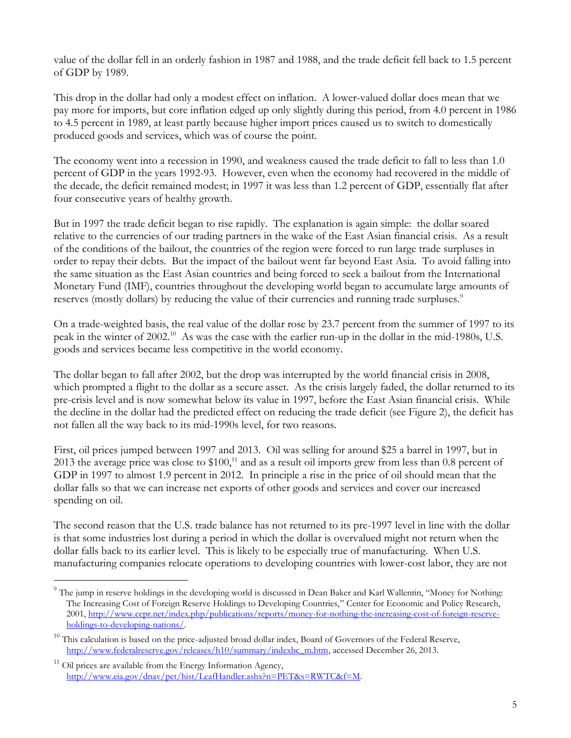value of the dollar fell in an orderly fashion in 1987 and 1988, and the trade deficit fell back to 1.5 percent of GDP by 1989.

This drop in the dollar had only a modest effect on inflation. A lower-valued dollar does mean that we pay more for imports, but core inflation edged up only slightly during this period, from 4.0 percent in 1986 to 4.5 percent in 1989, at least partly because higher import prices caused us to switch to domestically produced goods and services, which was of course the point.

The economy went into a recession in 1990, and weakness caused the trade deficit to fall to less than 1.0 percent of GDP in the years 1992-93. However, even when the economy had recovered in the middle of the decade, the deficit remained modest; in 1997 it was less than 1.2 percent of GDP, essentially flat after four consecutive years of healthy growth.

But in 1997 the trade deficit began to rise rapidly. The explanation is again simple: the dollar soared relative to the currencies of our trading partners in the wake of the East Asian financial crisis. As a result of the conditions of the bailout, the countries of the region were forced to run large trade surpluses in order to repay their debts. But the impact of the bailout went far beyond East Asia. To avoid falling into the same situation as the East Asian countries and being forced to seek a bailout from the International Monetary Fund (IMF), countries throughout the developing world began to accumulate large amounts of reserves (mostly dollars) by reducing the value of their currencies and running trade surpluses.<sup>9</sup>

On a trade-weighted basis, the real value of the dollar rose by 23.7 percent from the summer of 1997 to its peak in the winter of 2002.<sup>10</sup> As was the case with the earlier run-up in the dollar in the mid-1980s, U.S. goods and services became less competitive in the world economy.

The dollar began to fall after 2002, but the drop was interrupted by the world financial crisis in 2008, which prompted a flight to the dollar as a secure asset. As the crisis largely faded, the dollar returned to its pre-crisis level and is now somewhat below its value in 1997, before the East Asian financial crisis. While the decline in the dollar had the predicted effect on reducing the trade deficit (see Figure 2), the deficit has not fallen all the way back to its mid-1990s level, for two reasons.

First, oil prices jumped between 1997 and 2013. Oil was selling for around \$25 a barrel in 1997, but in 2013 the average price was close to  $$100<sup>11</sup>$  and as a result oil imports grew from less than 0.8 percent of GDP in 1997 to almost 1.9 percent in 2012. In principle a rise in the price of oil should mean that the dollar falls so that we can increase net exports of other goods and services and cover our increased spending on oil.

The second reason that the U.S. trade balance has not returned to its pre-1997 level in line with the dollar is that some industries lost during a period in which the dollar is overvalued might not return when the dollar falls back to its earlier level. This is likely to be especially true of manufacturing. When U.S. manufacturing companies relocate operations to developing countries with lower-cost labor, they are not

<sup>&</sup>lt;sup>9</sup> The jump in reserve holdings in the developing world is discussed in Dean Baker and Karl Wallentin, "Money for Nothing: The Increasing Cost of Foreign Reserve Holdings to Developing Countries," Center for Economic and Policy Research, 2001[, http://www.cepr.net/index.php/publications/reports/money-for-nothing-the-increasing-cost-of-foreign-reserve](http://www.cepr.net/index.php/publications/reports/money-for-nothing-the-increasing-cost-of-foreign-reserve-holdings-to-developing-nations/)[holdings-to-developing-nations/.](http://www.cepr.net/index.php/publications/reports/money-for-nothing-the-increasing-cost-of-foreign-reserve-holdings-to-developing-nations/)

 $10$  This calculation is based on the price-adjusted broad dollar index, Board of Governors of the Federal Reserve, [http://www.federalreserve.gov/releases/h10/summary/indexbc\\_m.htm,](http://www.federalreserve.gov/releases/h10/summary/indexbc_m.htm) accessed December 26, 2013.

 $11$  Oil prices are available from the Energy Information Agency, [http://www.eia.gov/dnav/pet/hist/LeafHandler.ashx?n=PET&s=RWTC&f=M.](http://www.eia.gov/dnav/pet/hist/LeafHandler.ashx?n=PET&s=RWTC&f=M)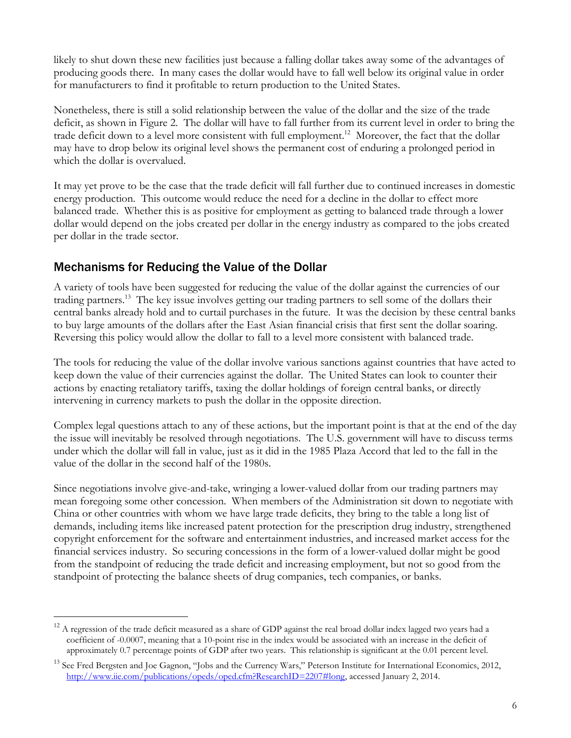likely to shut down these new facilities just because a falling dollar takes away some of the advantages of producing goods there. In many cases the dollar would have to fall well below its original value in order for manufacturers to find it profitable to return production to the United States.

Nonetheless, there is still a solid relationship between the value of the dollar and the size of the trade deficit, as shown in Figure 2. The dollar will have to fall further from its current level in order to bring the trade deficit down to a level more consistent with full employment.<sup>12</sup> Moreover, the fact that the dollar may have to drop below its original level shows the permanent cost of enduring a prolonged period in which the dollar is overvalued.

It may yet prove to be the case that the trade deficit will fall further due to continued increases in domestic energy production. This outcome would reduce the need for a decline in the dollar to effect more balanced trade. Whether this is as positive for employment as getting to balanced trade through a lower dollar would depend on the jobs created per dollar in the energy industry as compared to the jobs created per dollar in the trade sector.

# Mechanisms for Reducing the Value of the Dollar

 $\overline{a}$ 

A variety of tools have been suggested for reducing the value of the dollar against the currencies of our trading partners.<sup>13</sup> The key issue involves getting our trading partners to sell some of the dollars their central banks already hold and to curtail purchases in the future. It was the decision by these central banks to buy large amounts of the dollars after the East Asian financial crisis that first sent the dollar soaring. Reversing this policy would allow the dollar to fall to a level more consistent with balanced trade.

The tools for reducing the value of the dollar involve various sanctions against countries that have acted to keep down the value of their currencies against the dollar. The United States can look to counter their actions by enacting retaliatory tariffs, taxing the dollar holdings of foreign central banks, or directly intervening in currency markets to push the dollar in the opposite direction.

Complex legal questions attach to any of these actions, but the important point is that at the end of the day the issue will inevitably be resolved through negotiations. The U.S. government will have to discuss terms under which the dollar will fall in value, just as it did in the 1985 Plaza Accord that led to the fall in the value of the dollar in the second half of the 1980s.

Since negotiations involve give-and-take, wringing a lower-valued dollar from our trading partners may mean foregoing some other concession. When members of the Administration sit down to negotiate with China or other countries with whom we have large trade deficits, they bring to the table a long list of demands, including items like increased patent protection for the prescription drug industry, strengthened copyright enforcement for the software and entertainment industries, and increased market access for the financial services industry. So securing concessions in the form of a lower-valued dollar might be good from the standpoint of reducing the trade deficit and increasing employment, but not so good from the standpoint of protecting the balance sheets of drug companies, tech companies, or banks.

 $12$  A regression of the trade deficit measured as a share of GDP against the real broad dollar index lagged two years had a coefficient of -0.0007, meaning that a 10-point rise in the index would be associated with an increase in the deficit of approximately 0.7 percentage points of GDP after two years. This relationship is significant at the 0.01 percent level.

<sup>&</sup>lt;sup>13</sup> See Fred Bergsten and Joe Gagnon, "Jobs and the Currency Wars," Peterson Institute for International Economics, 2012, [http://www.iie.com/publications/opeds/oped.cfm?ResearchID=2207#long,](http://www.iie.com/publications/opeds/oped.cfm?ResearchID=2207#long) accessed January 2, 2014.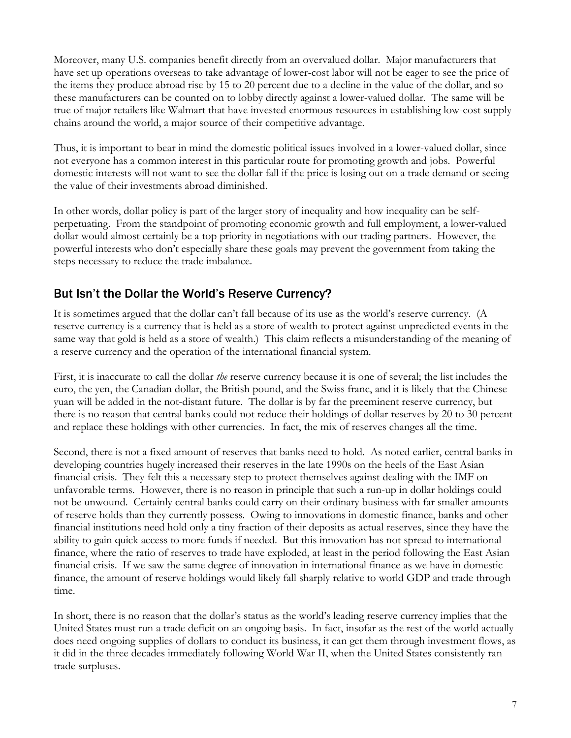Moreover, many U.S. companies benefit directly from an overvalued dollar. Major manufacturers that have set up operations overseas to take advantage of lower-cost labor will not be eager to see the price of the items they produce abroad rise by 15 to 20 percent due to a decline in the value of the dollar, and so these manufacturers can be counted on to lobby directly against a lower-valued dollar. The same will be true of major retailers like Walmart that have invested enormous resources in establishing low-cost supply chains around the world, a major source of their competitive advantage.

Thus, it is important to bear in mind the domestic political issues involved in a lower-valued dollar, since not everyone has a common interest in this particular route for promoting growth and jobs. Powerful domestic interests will not want to see the dollar fall if the price is losing out on a trade demand or seeing the value of their investments abroad diminished.

In other words, dollar policy is part of the larger story of inequality and how inequality can be selfperpetuating. From the standpoint of promoting economic growth and full employment, a lower-valued dollar would almost certainly be a top priority in negotiations with our trading partners. However, the powerful interests who don't especially share these goals may prevent the government from taking the steps necessary to reduce the trade imbalance.

# But Isn't the Dollar the World's Reserve Currency?

It is sometimes argued that the dollar can't fall because of its use as the world's reserve currency. (A reserve currency is a currency that is held as a store of wealth to protect against unpredicted events in the same way that gold is held as a store of wealth.) This claim reflects a misunderstanding of the meaning of a reserve currency and the operation of the international financial system.

First, it is inaccurate to call the dollar *the* reserve currency because it is one of several; the list includes the euro, the yen, the Canadian dollar, the British pound, and the Swiss franc, and it is likely that the Chinese yuan will be added in the not-distant future. The dollar is by far the preeminent reserve currency, but there is no reason that central banks could not reduce their holdings of dollar reserves by 20 to 30 percent and replace these holdings with other currencies. In fact, the mix of reserves changes all the time.

Second, there is not a fixed amount of reserves that banks need to hold. As noted earlier, central banks in developing countries hugely increased their reserves in the late 1990s on the heels of the East Asian financial crisis. They felt this a necessary step to protect themselves against dealing with the IMF on unfavorable terms. However, there is no reason in principle that such a run-up in dollar holdings could not be unwound. Certainly central banks could carry on their ordinary business with far smaller amounts of reserve holds than they currently possess. Owing to innovations in domestic finance, banks and other financial institutions need hold only a tiny fraction of their deposits as actual reserves, since they have the ability to gain quick access to more funds if needed. But this innovation has not spread to international finance, where the ratio of reserves to trade have exploded, at least in the period following the East Asian financial crisis. If we saw the same degree of innovation in international finance as we have in domestic finance, the amount of reserve holdings would likely fall sharply relative to world GDP and trade through time.

In short, there is no reason that the dollar's status as the world's leading reserve currency implies that the United States must run a trade deficit on an ongoing basis. In fact, insofar as the rest of the world actually does need ongoing supplies of dollars to conduct its business, it can get them through investment flows, as it did in the three decades immediately following World War II, when the United States consistently ran trade surpluses.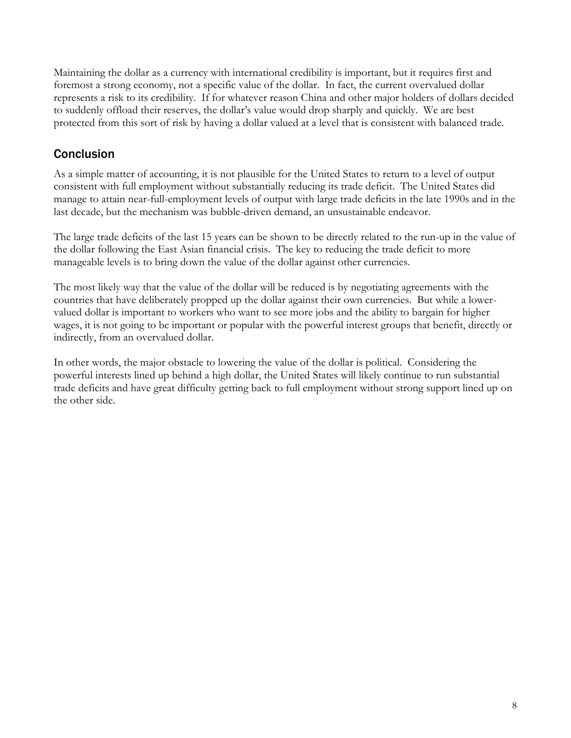Maintaining the dollar as a currency with international credibility is important, but it requires first and foremost a strong economy, not a specific value of the dollar. In fact, the current overvalued dollar represents a risk to its credibility. If for whatever reason China and other major holders of dollars decided to suddenly offload their reserves, the dollar's value would drop sharply and quickly. We are best protected from this sort of risk by having a dollar valued at a level that is consistent with balanced trade.

# **Conclusion**

As a simple matter of accounting, it is not plausible for the United States to return to a level of output consistent with full employment without substantially reducing its trade deficit. The United States did manage to attain near-full-employment levels of output with large trade deficits in the late 1990s and in the last decade, but the mechanism was bubble-driven demand, an unsustainable endeavor.

The large trade deficits of the last 15 years can be shown to be directly related to the run-up in the value of the dollar following the East Asian financial crisis. The key to reducing the trade deficit to more manageable levels is to bring down the value of the dollar against other currencies.

The most likely way that the value of the dollar will be reduced is by negotiating agreements with the countries that have deliberately propped up the dollar against their own currencies. But while a lowervalued dollar is important to workers who want to see more jobs and the ability to bargain for higher wages, it is not going to be important or popular with the powerful interest groups that benefit, directly or indirectly, from an overvalued dollar.

In other words, the major obstacle to lowering the value of the dollar is political. Considering the powerful interests lined up behind a high dollar, the United States will likely continue to run substantial trade deficits and have great difficulty getting back to full employment without strong support lined up on the other side.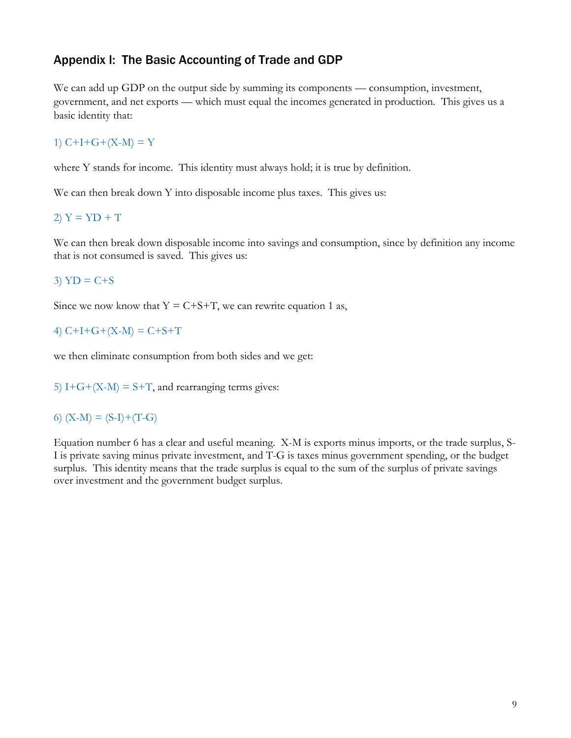### Appendix I: The Basic Accounting of Trade and GDP

We can add up GDP on the output side by summing its components — consumption, investment, government, and net exports — which must equal the incomes generated in production. This gives us a basic identity that:

### 1)  $C+I+G+(X-M)=Y$

where Y stands for income. This identity must always hold; it is true by definition.

We can then break down Y into disposable income plus taxes. This gives us:

#### 2)  $Y = YD + T$

We can then break down disposable income into savings and consumption, since by definition any income that is not consumed is saved. This gives us:

### $3) \text{ YD} = C + S$

Since we now know that  $Y = C + S + T$ , we can rewrite equation 1 as,

### 4)  $C+I+G+(X-M) = C+S+T$

we then eliminate consumption from both sides and we get:

5)  $I+G+(X-M) = S+T$ , and rearranging terms gives:

### 6)  $(X-M) = (S-I)+(T-G)$

Equation number 6 has a clear and useful meaning. X-M is exports minus imports, or the trade surplus, S-I is private saving minus private investment, and T-G is taxes minus government spending, or the budget surplus. This identity means that the trade surplus is equal to the sum of the surplus of private savings over investment and the government budget surplus.